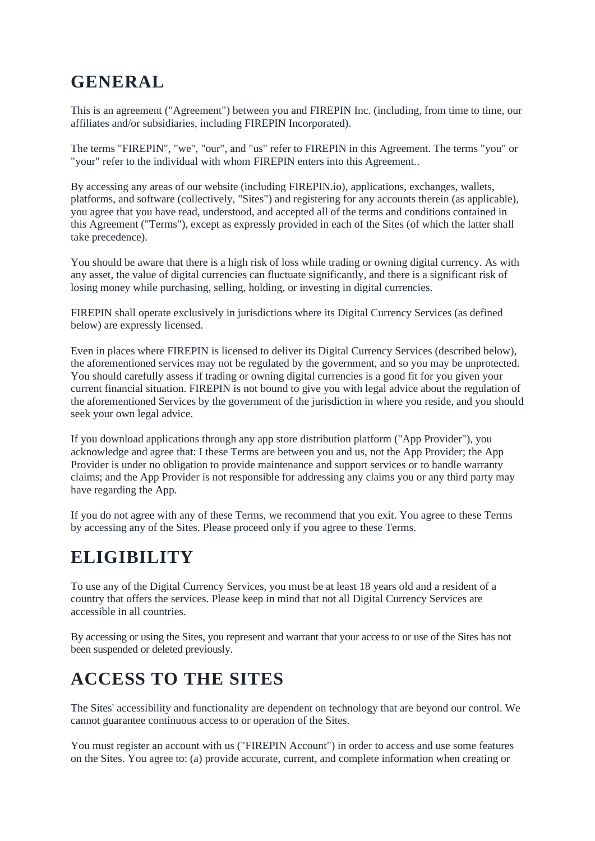#### **GENERAL**

This is an agreement ("Agreement") between you and FIREPIN Inc. (including, from time to time, our affiliates and/or subsidiaries, including FIREPIN Incorporated).

The terms "FIREPIN", "we", "our", and "us" refer to FIREPIN in this Agreement. The terms "you" or "your" refer to the individual with whom FIREPIN enters into this Agreement..

By accessing any areas of our website (including FIREPIN.io), applications, exchanges, wallets, platforms, and software (collectively, "Sites") and registering for any accounts therein (as applicable), you agree that you have read, understood, and accepted all of the terms and conditions contained in this Agreement ("Terms"), except as expressly provided in each of the Sites (of which the latter shall take precedence).

You should be aware that there is a high risk of loss while trading or owning digital currency. As with any asset, the value of digital currencies can fluctuate significantly, and there is a significant risk of losing money while purchasing, selling, holding, or investing in digital currencies.

FIREPIN shall operate exclusively in jurisdictions where its Digital Currency Services (as defined below) are expressly licensed.

Even in places where FIREPIN is licensed to deliver its Digital Currency Services (described below), the aforementioned services may not be regulated by the government, and so you may be unprotected. You should carefully assess if trading or owning digital currencies is a good fit for you given your current financial situation. FIREPIN is not bound to give you with legal advice about the regulation of the aforementioned Services by the government of the jurisdiction in where you reside, and you should seek your own legal advice.

If you download applications through any app store distribution platform ("App Provider"), you acknowledge and agree that: I these Terms are between you and us, not the App Provider; the App Provider is under no obligation to provide maintenance and support services or to handle warranty claims; and the App Provider is not responsible for addressing any claims you or any third party may have regarding the App.

If you do not agree with any of these Terms, we recommend that you exit. You agree to these Terms by accessing any of the Sites. Please proceed only if you agree to these Terms.

## **ELIGIBILITY**

To use any of the Digital Currency Services, you must be at least 18 years old and a resident of a country that offers the services. Please keep in mind that not all Digital Currency Services are accessible in all countries.

By accessing or using the Sites, you represent and warrant that your access to or use of the Sites has not been suspended or deleted previously.

# **ACCESS TO THE SITES**

The Sites' accessibility and functionality are dependent on technology that are beyond our control. We cannot guarantee continuous access to or operation of the Sites.

You must register an account with us ("FIREPIN Account") in order to access and use some features on the Sites. You agree to: (a) provide accurate, current, and complete information when creating or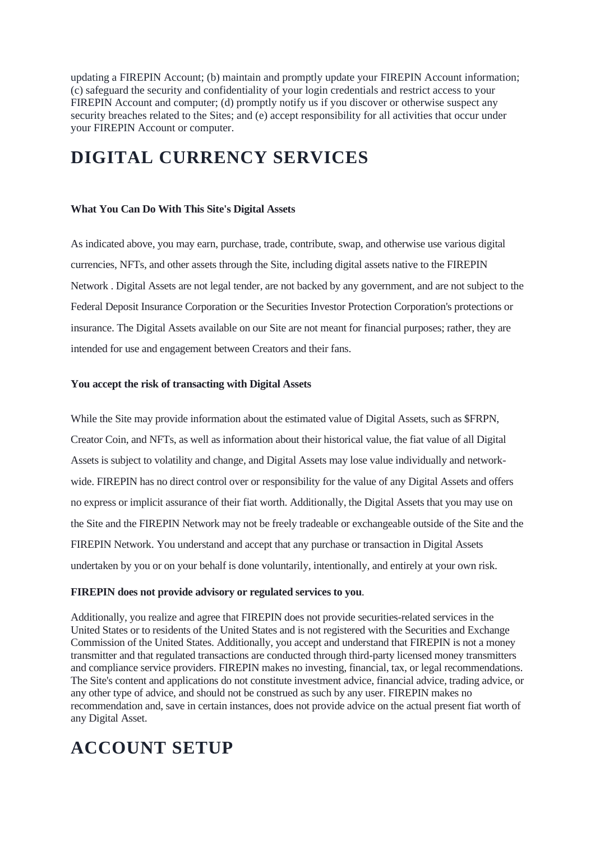updating a FIREPIN Account; (b) maintain and promptly update your FIREPIN Account information; (c) safeguard the security and confidentiality of your login credentials and restrict access to your FIREPIN Account and computer; (d) promptly notify us if you discover or otherwise suspect any security breaches related to the Sites; and (e) accept responsibility for all activities that occur under your FIREPIN Account or computer.

#### **DIGITAL CURRENCY SERVICES**

#### **What You Can Do With This Site's Digital Assets**

As indicated above, you may earn, purchase, trade, contribute, swap, and otherwise use various digital currencies, NFTs, and other assets through the Site, including digital assets native to the FIREPIN Network . Digital Assets are not legal tender, are not backed by any government, and are not subject to the Federal Deposit Insurance Corporation or the Securities Investor Protection Corporation's protections or insurance. The Digital Assets available on our Site are not meant for financial purposes; rather, they are intended for use and engagement between Creators and their fans.

#### **You accept the risk of transacting with Digital Assets**

While the Site may provide information about the estimated value of Digital Assets, such as \$FRPN, Creator Coin, and NFTs, as well as information about their historical value, the fiat value of all Digital Assets is subject to volatility and change, and Digital Assets may lose value individually and networkwide. FIREPIN has no direct control over or responsibility for the value of any Digital Assets and offers no express or implicit assurance of their fiat worth. Additionally, the Digital Assets that you may use on the Site and the FIREPIN Network may not be freely tradeable or exchangeable outside of the Site and the FIREPIN Network. You understand and accept that any purchase or transaction in Digital Assets undertaken by you or on your behalf is done voluntarily, intentionally, and entirely at your own risk.

#### **FIREPIN does not provide advisory or regulated services to you**.

Additionally, you realize and agree that FIREPIN does not provide securities-related services in the United States or to residents of the United States and is not registered with the Securities and Exchange Commission of the United States. Additionally, you accept and understand that FIREPIN is not a money transmitter and that regulated transactions are conducted through third-party licensed money transmitters and compliance service providers. FIREPIN makes no investing, financial, tax, or legal recommendations. The Site's content and applications do not constitute investment advice, financial advice, trading advice, or any other type of advice, and should not be construed as such by any user. FIREPIN makes no recommendation and, save in certain instances, does not provide advice on the actual present fiat worth of any Digital Asset.

## **ACCOUNT SETUP**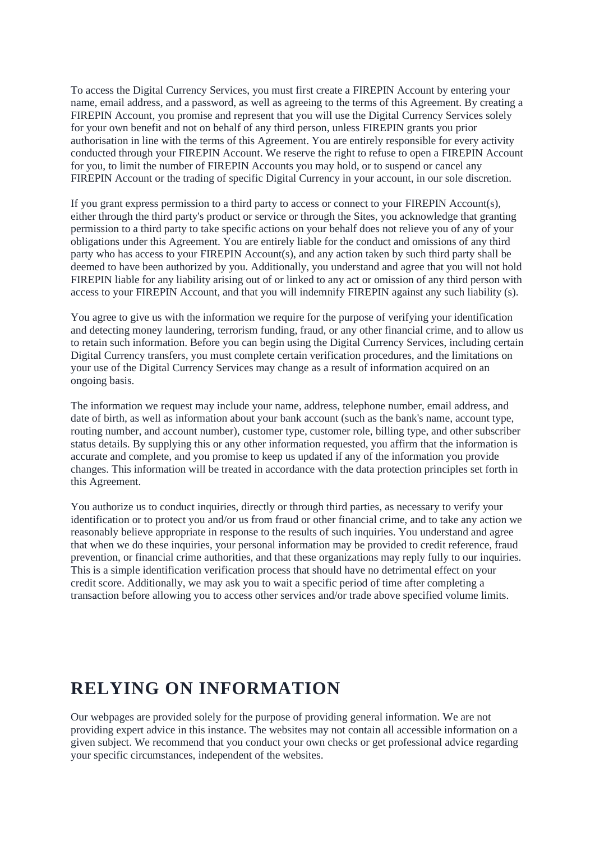To access the Digital Currency Services, you must first create a FIREPIN Account by entering your name, email address, and a password, as well as agreeing to the terms of this Agreement. By creating a FIREPIN Account, you promise and represent that you will use the Digital Currency Services solely for your own benefit and not on behalf of any third person, unless FIREPIN grants you prior authorisation in line with the terms of this Agreement. You are entirely responsible for every activity conducted through your FIREPIN Account. We reserve the right to refuse to open a FIREPIN Account for you, to limit the number of FIREPIN Accounts you may hold, or to suspend or cancel any FIREPIN Account or the trading of specific Digital Currency in your account, in our sole discretion.

If you grant express permission to a third party to access or connect to your FIREPIN Account(s), either through the third party's product or service or through the Sites, you acknowledge that granting permission to a third party to take specific actions on your behalf does not relieve you of any of your obligations under this Agreement. You are entirely liable for the conduct and omissions of any third party who has access to your FIREPIN Account(s), and any action taken by such third party shall be deemed to have been authorized by you. Additionally, you understand and agree that you will not hold FIREPIN liable for any liability arising out of or linked to any act or omission of any third person with access to your FIREPIN Account, and that you will indemnify FIREPIN against any such liability (s).

You agree to give us with the information we require for the purpose of verifying your identification and detecting money laundering, terrorism funding, fraud, or any other financial crime, and to allow us to retain such information. Before you can begin using the Digital Currency Services, including certain Digital Currency transfers, you must complete certain verification procedures, and the limitations on your use of the Digital Currency Services may change as a result of information acquired on an ongoing basis.

The information we request may include your name, address, telephone number, email address, and date of birth, as well as information about your bank account (such as the bank's name, account type, routing number, and account number), customer type, customer role, billing type, and other subscriber status details. By supplying this or any other information requested, you affirm that the information is accurate and complete, and you promise to keep us updated if any of the information you provide changes. This information will be treated in accordance with the data protection principles set forth in this Agreement.

You authorize us to conduct inquiries, directly or through third parties, as necessary to verify your identification or to protect you and/or us from fraud or other financial crime, and to take any action we reasonably believe appropriate in response to the results of such inquiries. You understand and agree that when we do these inquiries, your personal information may be provided to credit reference, fraud prevention, or financial crime authorities, and that these organizations may reply fully to our inquiries. This is a simple identification verification process that should have no detrimental effect on your credit score. Additionally, we may ask you to wait a specific period of time after completing a transaction before allowing you to access other services and/or trade above specified volume limits.

#### **RELYING ON INFORMATION**

Our webpages are provided solely for the purpose of providing general information. We are not providing expert advice in this instance. The websites may not contain all accessible information on a given subject. We recommend that you conduct your own checks or get professional advice regarding your specific circumstances, independent of the websites.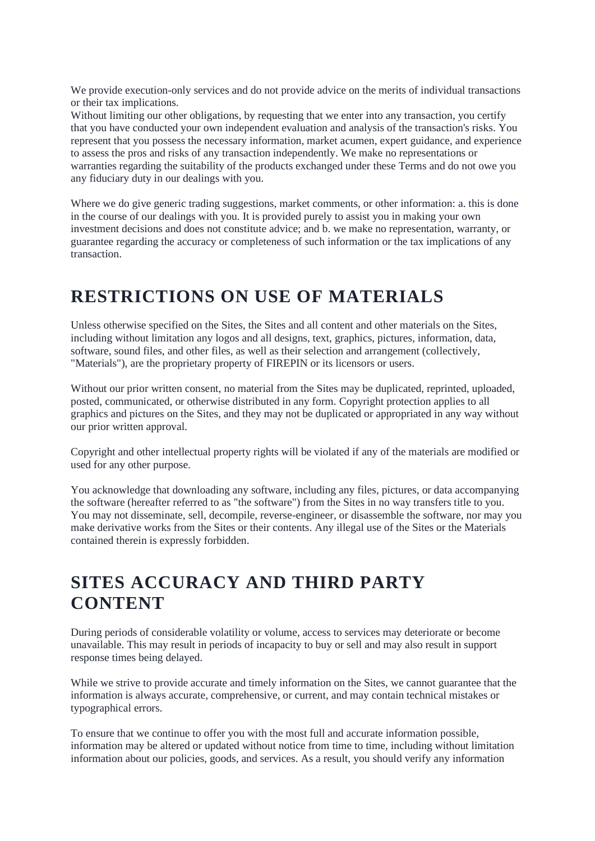We provide execution-only services and do not provide advice on the merits of individual transactions or their tax implications.

Without limiting our other obligations, by requesting that we enter into any transaction, you certify that you have conducted your own independent evaluation and analysis of the transaction's risks. You represent that you possess the necessary information, market acumen, expert guidance, and experience to assess the pros and risks of any transaction independently. We make no representations or warranties regarding the suitability of the products exchanged under these Terms and do not owe you any fiduciary duty in our dealings with you.

Where we do give generic trading suggestions, market comments, or other information: a. this is done in the course of our dealings with you. It is provided purely to assist you in making your own investment decisions and does not constitute advice; and b. we make no representation, warranty, or guarantee regarding the accuracy or completeness of such information or the tax implications of any transaction.

#### **RESTRICTIONS ON USE OF MATERIALS**

Unless otherwise specified on the Sites, the Sites and all content and other materials on the Sites, including without limitation any logos and all designs, text, graphics, pictures, information, data, software, sound files, and other files, as well as their selection and arrangement (collectively, "Materials"), are the proprietary property of FIREPIN or its licensors or users.

Without our prior written consent, no material from the Sites may be duplicated, reprinted, uploaded, posted, communicated, or otherwise distributed in any form. Copyright protection applies to all graphics and pictures on the Sites, and they may not be duplicated or appropriated in any way without our prior written approval.

Copyright and other intellectual property rights will be violated if any of the materials are modified or used for any other purpose.

You acknowledge that downloading any software, including any files, pictures, or data accompanying the software (hereafter referred to as "the software") from the Sites in no way transfers title to you. You may not disseminate, sell, decompile, reverse-engineer, or disassemble the software, nor may you make derivative works from the Sites or their contents. Any illegal use of the Sites or the Materials contained therein is expressly forbidden.

#### **SITES ACCURACY AND THIRD PARTY CONTENT**

During periods of considerable volatility or volume, access to services may deteriorate or become unavailable. This may result in periods of incapacity to buy or sell and may also result in support response times being delayed.

While we strive to provide accurate and timely information on the Sites, we cannot guarantee that the information is always accurate, comprehensive, or current, and may contain technical mistakes or typographical errors.

To ensure that we continue to offer you with the most full and accurate information possible, information may be altered or updated without notice from time to time, including without limitation information about our policies, goods, and services. As a result, you should verify any information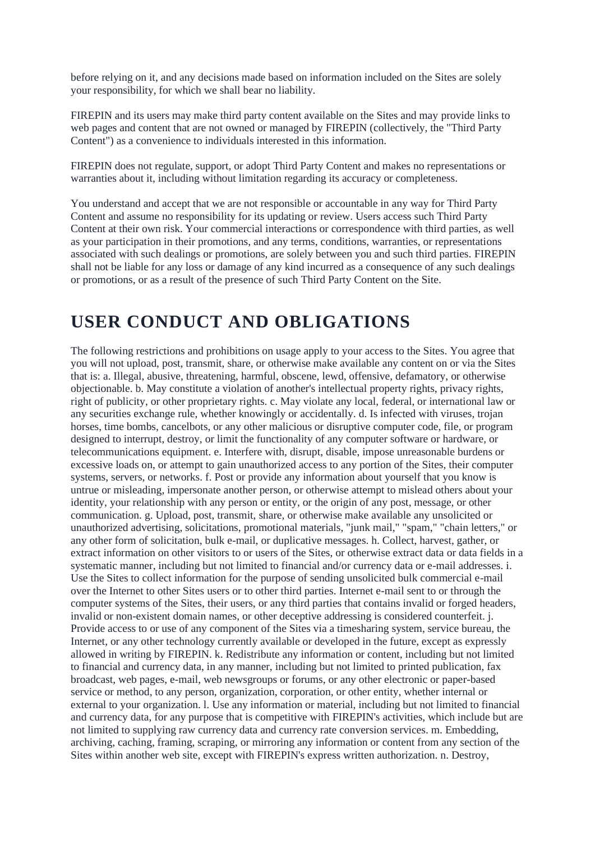before relying on it, and any decisions made based on information included on the Sites are solely your responsibility, for which we shall bear no liability.

FIREPIN and its users may make third party content available on the Sites and may provide links to web pages and content that are not owned or managed by FIREPIN (collectively, the "Third Party Content") as a convenience to individuals interested in this information.

FIREPIN does not regulate, support, or adopt Third Party Content and makes no representations or warranties about it, including without limitation regarding its accuracy or completeness.

You understand and accept that we are not responsible or accountable in any way for Third Party Content and assume no responsibility for its updating or review. Users access such Third Party Content at their own risk. Your commercial interactions or correspondence with third parties, as well as your participation in their promotions, and any terms, conditions, warranties, or representations associated with such dealings or promotions, are solely between you and such third parties. FIREPIN shall not be liable for any loss or damage of any kind incurred as a consequence of any such dealings or promotions, or as a result of the presence of such Third Party Content on the Site.

#### **USER CONDUCT AND OBLIGATIONS**

The following restrictions and prohibitions on usage apply to your access to the Sites. You agree that you will not upload, post, transmit, share, or otherwise make available any content on or via the Sites that is: a. Illegal, abusive, threatening, harmful, obscene, lewd, offensive, defamatory, or otherwise objectionable. b. May constitute a violation of another's intellectual property rights, privacy rights, right of publicity, or other proprietary rights. c. May violate any local, federal, or international law or any securities exchange rule, whether knowingly or accidentally. d. Is infected with viruses, trojan horses, time bombs, cancelbots, or any other malicious or disruptive computer code, file, or program designed to interrupt, destroy, or limit the functionality of any computer software or hardware, or telecommunications equipment. e. Interfere with, disrupt, disable, impose unreasonable burdens or excessive loads on, or attempt to gain unauthorized access to any portion of the Sites, their computer systems, servers, or networks. f. Post or provide any information about yourself that you know is untrue or misleading, impersonate another person, or otherwise attempt to mislead others about your identity, your relationship with any person or entity, or the origin of any post, message, or other communication. g. Upload, post, transmit, share, or otherwise make available any unsolicited or unauthorized advertising, solicitations, promotional materials, "junk mail," "spam," "chain letters," or any other form of solicitation, bulk e-mail, or duplicative messages. h. Collect, harvest, gather, or extract information on other visitors to or users of the Sites, or otherwise extract data or data fields in a systematic manner, including but not limited to financial and/or currency data or e-mail addresses. i. Use the Sites to collect information for the purpose of sending unsolicited bulk commercial e-mail over the Internet to other Sites users or to other third parties. Internet e-mail sent to or through the computer systems of the Sites, their users, or any third parties that contains invalid or forged headers, invalid or non-existent domain names, or other deceptive addressing is considered counterfeit. j. Provide access to or use of any component of the Sites via a timesharing system, service bureau, the Internet, or any other technology currently available or developed in the future, except as expressly allowed in writing by FIREPIN. k. Redistribute any information or content, including but not limited to financial and currency data, in any manner, including but not limited to printed publication, fax broadcast, web pages, e-mail, web newsgroups or forums, or any other electronic or paper-based service or method, to any person, organization, corporation, or other entity, whether internal or external to your organization. l. Use any information or material, including but not limited to financial and currency data, for any purpose that is competitive with FIREPIN's activities, which include but are not limited to supplying raw currency data and currency rate conversion services. m. Embedding, archiving, caching, framing, scraping, or mirroring any information or content from any section of the Sites within another web site, except with FIREPIN's express written authorization. n. Destroy,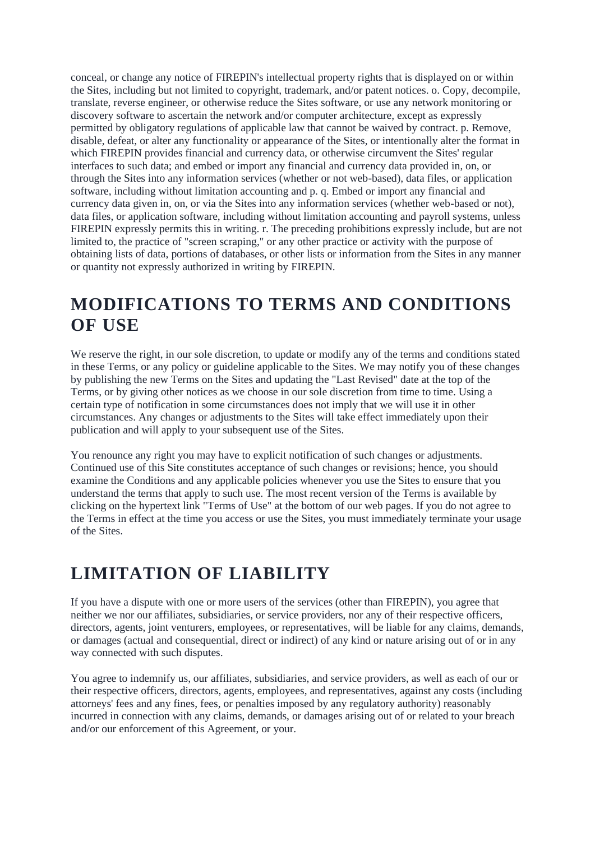conceal, or change any notice of FIREPIN's intellectual property rights that is displayed on or within the Sites, including but not limited to copyright, trademark, and/or patent notices. o. Copy, decompile, translate, reverse engineer, or otherwise reduce the Sites software, or use any network monitoring or discovery software to ascertain the network and/or computer architecture, except as expressly permitted by obligatory regulations of applicable law that cannot be waived by contract. p. Remove, disable, defeat, or alter any functionality or appearance of the Sites, or intentionally alter the format in which FIREPIN provides financial and currency data, or otherwise circumvent the Sites' regular interfaces to such data; and embed or import any financial and currency data provided in, on, or through the Sites into any information services (whether or not web-based), data files, or application software, including without limitation accounting and p. q. Embed or import any financial and currency data given in, on, or via the Sites into any information services (whether web-based or not), data files, or application software, including without limitation accounting and payroll systems, unless FIREPIN expressly permits this in writing. r. The preceding prohibitions expressly include, but are not limited to, the practice of "screen scraping," or any other practice or activity with the purpose of obtaining lists of data, portions of databases, or other lists or information from the Sites in any manner or quantity not expressly authorized in writing by FIREPIN.

#### **MODIFICATIONS TO TERMS AND CONDITIONS OF USE**

We reserve the right, in our sole discretion, to update or modify any of the terms and conditions stated in these Terms, or any policy or guideline applicable to the Sites. We may notify you of these changes by publishing the new Terms on the Sites and updating the "Last Revised" date at the top of the Terms, or by giving other notices as we choose in our sole discretion from time to time. Using a certain type of notification in some circumstances does not imply that we will use it in other circumstances. Any changes or adjustments to the Sites will take effect immediately upon their publication and will apply to your subsequent use of the Sites.

You renounce any right you may have to explicit notification of such changes or adjustments. Continued use of this Site constitutes acceptance of such changes or revisions; hence, you should examine the Conditions and any applicable policies whenever you use the Sites to ensure that you understand the terms that apply to such use. The most recent version of the Terms is available by clicking on the hypertext link "Terms of Use" at the bottom of our web pages. If you do not agree to the Terms in effect at the time you access or use the Sites, you must immediately terminate your usage of the Sites.

## **LIMITATION OF LIABILITY**

If you have a dispute with one or more users of the services (other than FIREPIN), you agree that neither we nor our affiliates, subsidiaries, or service providers, nor any of their respective officers, directors, agents, joint venturers, employees, or representatives, will be liable for any claims, demands, or damages (actual and consequential, direct or indirect) of any kind or nature arising out of or in any way connected with such disputes.

You agree to indemnify us, our affiliates, subsidiaries, and service providers, as well as each of our or their respective officers, directors, agents, employees, and representatives, against any costs (including attorneys' fees and any fines, fees, or penalties imposed by any regulatory authority) reasonably incurred in connection with any claims, demands, or damages arising out of or related to your breach and/or our enforcement of this Agreement, or your.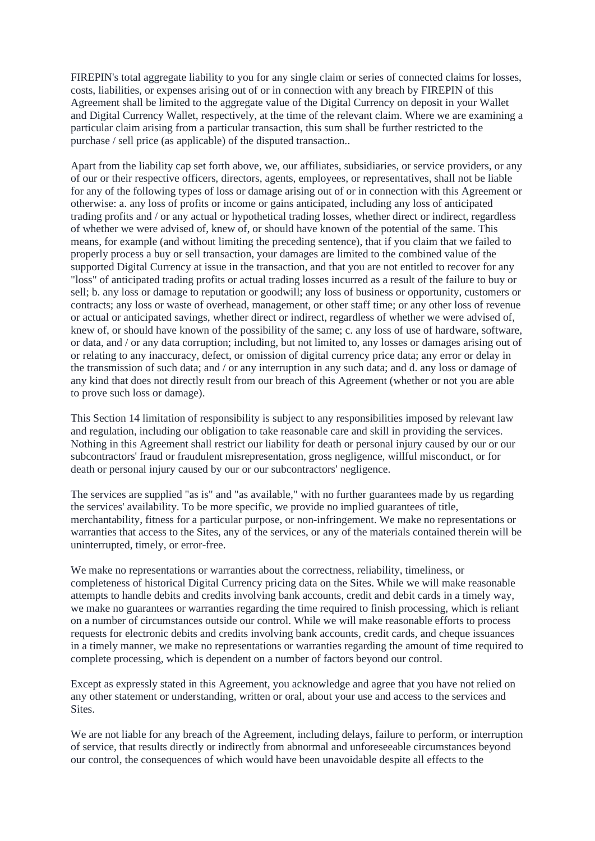FIREPIN's total aggregate liability to you for any single claim or series of connected claims for losses, costs, liabilities, or expenses arising out of or in connection with any breach by FIREPIN of this Agreement shall be limited to the aggregate value of the Digital Currency on deposit in your Wallet and Digital Currency Wallet, respectively, at the time of the relevant claim. Where we are examining a particular claim arising from a particular transaction, this sum shall be further restricted to the purchase / sell price (as applicable) of the disputed transaction..

Apart from the liability cap set forth above, we, our affiliates, subsidiaries, or service providers, or any of our or their respective officers, directors, agents, employees, or representatives, shall not be liable for any of the following types of loss or damage arising out of or in connection with this Agreement or otherwise: a. any loss of profits or income or gains anticipated, including any loss of anticipated trading profits and / or any actual or hypothetical trading losses, whether direct or indirect, regardless of whether we were advised of, knew of, or should have known of the potential of the same. This means, for example (and without limiting the preceding sentence), that if you claim that we failed to properly process a buy or sell transaction, your damages are limited to the combined value of the supported Digital Currency at issue in the transaction, and that you are not entitled to recover for any "loss" of anticipated trading profits or actual trading losses incurred as a result of the failure to buy or sell; b. any loss or damage to reputation or goodwill; any loss of business or opportunity, customers or contracts; any loss or waste of overhead, management, or other staff time; or any other loss of revenue or actual or anticipated savings, whether direct or indirect, regardless of whether we were advised of, knew of, or should have known of the possibility of the same; c. any loss of use of hardware, software, or data, and / or any data corruption; including, but not limited to, any losses or damages arising out of or relating to any inaccuracy, defect, or omission of digital currency price data; any error or delay in the transmission of such data; and / or any interruption in any such data; and d. any loss or damage of any kind that does not directly result from our breach of this Agreement (whether or not you are able to prove such loss or damage).

This Section 14 limitation of responsibility is subject to any responsibilities imposed by relevant law and regulation, including our obligation to take reasonable care and skill in providing the services. Nothing in this Agreement shall restrict our liability for death or personal injury caused by our or our subcontractors' fraud or fraudulent misrepresentation, gross negligence, willful misconduct, or for death or personal injury caused by our or our subcontractors' negligence.

The services are supplied "as is" and "as available," with no further guarantees made by us regarding the services' availability. To be more specific, we provide no implied guarantees of title, merchantability, fitness for a particular purpose, or non-infringement. We make no representations or warranties that access to the Sites, any of the services, or any of the materials contained therein will be uninterrupted, timely, or error-free.

We make no representations or warranties about the correctness, reliability, timeliness, or completeness of historical Digital Currency pricing data on the Sites. While we will make reasonable attempts to handle debits and credits involving bank accounts, credit and debit cards in a timely way, we make no guarantees or warranties regarding the time required to finish processing, which is reliant on a number of circumstances outside our control. While we will make reasonable efforts to process requests for electronic debits and credits involving bank accounts, credit cards, and cheque issuances in a timely manner, we make no representations or warranties regarding the amount of time required to complete processing, which is dependent on a number of factors beyond our control.

Except as expressly stated in this Agreement, you acknowledge and agree that you have not relied on any other statement or understanding, written or oral, about your use and access to the services and Sites.

We are not liable for any breach of the Agreement, including delays, failure to perform, or interruption of service, that results directly or indirectly from abnormal and unforeseeable circumstances beyond our control, the consequences of which would have been unavoidable despite all effects to the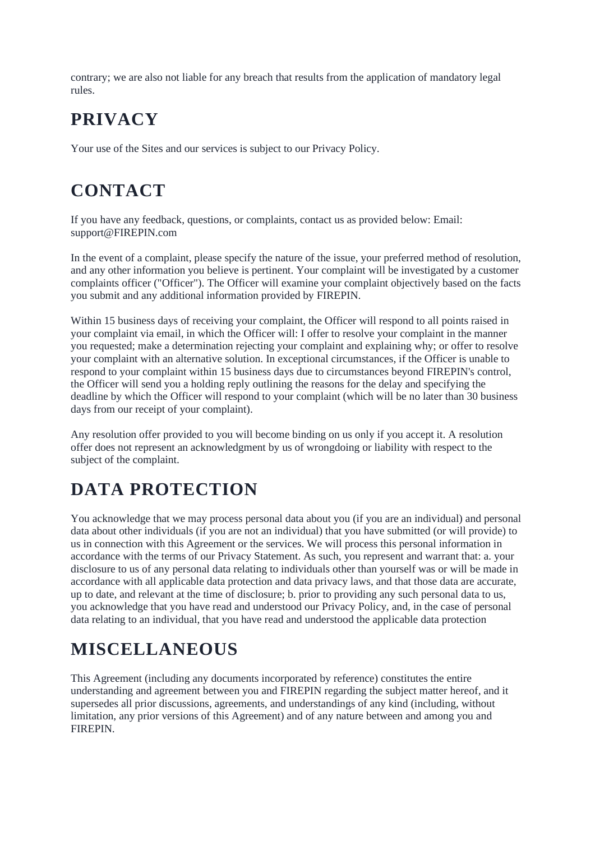contrary; we are also not liable for any breach that results from the application of mandatory legal rules.

## **PRIVACY**

Your use of the Sites and our services is subject to our Privacy Policy.

## **CONTACT**

If you have any feedback, questions, or complaints, contact us as provided below: Email: support@FIREPIN.com

In the event of a complaint, please specify the nature of the issue, your preferred method of resolution, and any other information you believe is pertinent. Your complaint will be investigated by a customer complaints officer ("Officer"). The Officer will examine your complaint objectively based on the facts you submit and any additional information provided by FIREPIN.

Within 15 business days of receiving your complaint, the Officer will respond to all points raised in your complaint via email, in which the Officer will: I offer to resolve your complaint in the manner you requested; make a determination rejecting your complaint and explaining why; or offer to resolve your complaint with an alternative solution. In exceptional circumstances, if the Officer is unable to respond to your complaint within 15 business days due to circumstances beyond FIREPIN's control, the Officer will send you a holding reply outlining the reasons for the delay and specifying the deadline by which the Officer will respond to your complaint (which will be no later than 30 business days from our receipt of your complaint).

Any resolution offer provided to you will become binding on us only if you accept it. A resolution offer does not represent an acknowledgment by us of wrongdoing or liability with respect to the subject of the complaint.

# **DATA PROTECTION**

You acknowledge that we may process personal data about you (if you are an individual) and personal data about other individuals (if you are not an individual) that you have submitted (or will provide) to us in connection with this Agreement or the services. We will process this personal information in accordance with the terms of our Privacy Statement. As such, you represent and warrant that: a. your disclosure to us of any personal data relating to individuals other than yourself was or will be made in accordance with all applicable data protection and data privacy laws, and that those data are accurate, up to date, and relevant at the time of disclosure; b. prior to providing any such personal data to us, you acknowledge that you have read and understood our Privacy Policy, and, in the case of personal data relating to an individual, that you have read and understood the applicable data protection

## **MISCELLANEOUS**

This Agreement (including any documents incorporated by reference) constitutes the entire understanding and agreement between you and FIREPIN regarding the subject matter hereof, and it supersedes all prior discussions, agreements, and understandings of any kind (including, without limitation, any prior versions of this Agreement) and of any nature between and among you and FIREPIN.